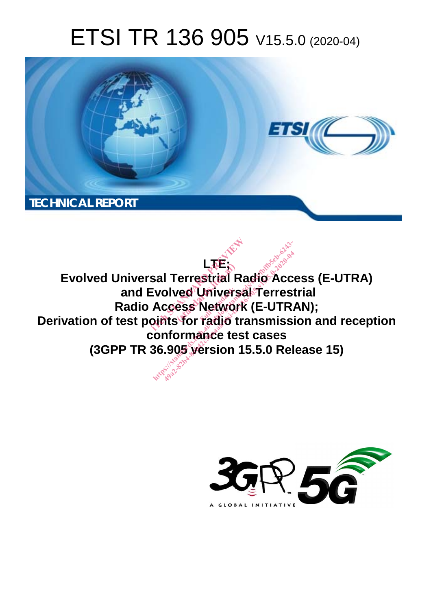# ETSI TR 136 905 V15.5.0 (2020-04)



**LTE; Evolved Universal Terrestrial Radio Access (E-UTRA) and Evolved Universal Terrestrial Radio Access Network (E-UTRAN); Derivation of test points for radio transmission and reception conformance test cases (3GPP TR 36.905 version 15.5.0 Release 15) Extra LTE.**<br>Sal Terrestrial Radi<br>Evolved Universal T<br>Access Network (E<br>pints for radio trans دt⊏<br>errestrial R<br>ess Networ<br>ess Networ<br>est radio t Jnivers<br>Networ<br>radio t HTE:<br>Standard LTE:<br>Standard Christ<br>Standards.iteh.ai/Terrest<br>Access Network (E-UTRA<br>Dints for radio transmission<br>onformance test cases<br>36.905 version 15.5.0 Rele

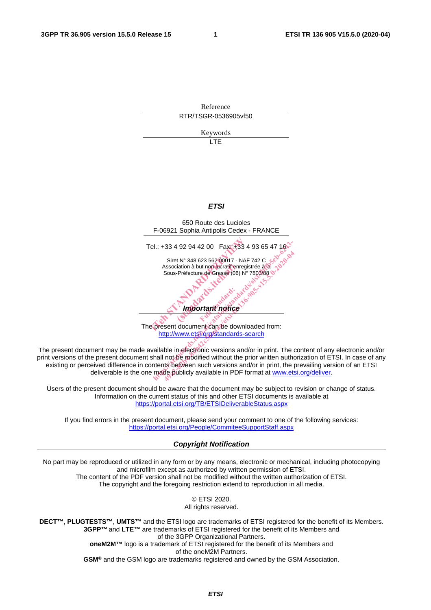Reference RTR/TSGR-0536905vf50 Keywords LTE *ETSI*  650 Route des Lucioles F-06921 Sophia Antipolis Cedex - FRANCE Tel.: +33 4 92 94 42 00 Fax: +33 4 93 65 47 16 Siret N° 348 623 562 00017 - NAF 742 C Association à but non lucratif enregistrée à la Sous-Préfecture de Grasse (06) N° 7803/88 *Important notice*  The present document can be downloaded from: http://www.etsi.org/standards-search el.: +33 4 92 94 42 00 Fax: +33 4 93<br>
Siret N° 348 623 562 00017 - NAF 742<br>
Association à but non tucratif enregistrée<br>
Sous-Préfecture de Grasse (06) N° 7803<br>
Sous-Préfecture de Grasse (06) N° 7803<br>
Sous-Préfecture de Gra Extra de Grasse (06)<br>Fréfecture de Grasse (06)<br>**Important notice** While the psice of the priority of the priority of the priority of the priority of the priority of the priority of the priority of the priority of the priority of the priority of the priority of the priority of the priori Siret N° 348 623 562 00017 - NAF 742 C<br>Sous-Préfecture de Grasse (06) N° 7803/88<br>Sous-Préfecture de Grasse (06) N° 7803/88<br>Sous-Préfecture de Grasse (06) N° 7803/88<br>Sous-Préfecture de Grasse (06) N° 7803/88<br>Sous-Préfecture

The present document may be made available in electronic versions and/or in print. The content of any electronic and/or print versions of the present document shall not be modified without the prior written authorization of ETSI. In case of any existing or perceived difference in contents between such versions and/or in print, the prevailing version of an ETSI deliverable is the one made publicly available in PDF format at www.etsi.org/deliver.

Users of the present document should be aware that the document may be subject to revision or change of status. Information on the current status of this and other ETSI documents is available at https://portal.etsi.org/TB/ETSIDeliverableStatus.aspx

If you find errors in the present document, please send your comment to one of the following services: https://portal.etsi.org/People/CommiteeSupportStaff.aspx

*Copyright Notification* 

No part may be reproduced or utilized in any form or by any means, electronic or mechanical, including photocopying and microfilm except as authorized by written permission of ETSI. The content of the PDF version shall not be modified without the written authorization of ETSI. The copyright and the foregoing restriction extend to reproduction in all media.

> © ETSI 2020. All rights reserved.

**DECT™**, **PLUGTESTS™**, **UMTS™** and the ETSI logo are trademarks of ETSI registered for the benefit of its Members. **3GPP™** and **LTE™** are trademarks of ETSI registered for the benefit of its Members and of the 3GPP Organizational Partners. **oneM2M™** logo is a trademark of ETSI registered for the benefit of its Members and of the oneM2M Partners. **GSM®** and the GSM logo are trademarks registered and owned by the GSM Association.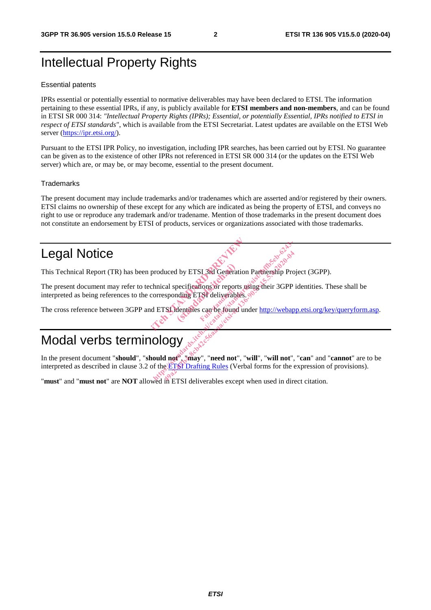## Intellectual Property Rights

#### Essential patents

IPRs essential or potentially essential to normative deliverables may have been declared to ETSI. The information pertaining to these essential IPRs, if any, is publicly available for **ETSI members and non-members**, and can be found in ETSI SR 000 314: *"Intellectual Property Rights (IPRs); Essential, or potentially Essential, IPRs notified to ETSI in respect of ETSI standards"*, which is available from the ETSI Secretariat. Latest updates are available on the ETSI Web server (https://ipr.etsi.org/).

Pursuant to the ETSI IPR Policy, no investigation, including IPR searches, has been carried out by ETSI. No guarantee can be given as to the existence of other IPRs not referenced in ETSI SR 000 314 (or the updates on the ETSI Web server) which are, or may be, or may become, essential to the present document.

#### **Trademarks**

The present document may include trademarks and/or tradenames which are asserted and/or registered by their owners. ETSI claims no ownership of these except for any which are indicated as being the property of ETSI, and conveys no right to use or reproduce any trademark and/or tradename. Mention of those trademarks in the present document does not constitute an endorsement by ETSI of products, services or organizations associated with those trademarks.

## Legal Notice

This Technical Report (TR) has been produced by ETSI 3rd Generation Partnership Project (3GPP).

The present document may refer to technical specifications or reports using their 3GPP identities. These shall be interpreted as being references to the corresponding ETSI deliverables. produced by ETSI 3rd Generation Part t by ETSI 3rd Generation contracts. For deliverable and the principal of the standard and the standards.<br>
This pseudon is a standard for the standard of the standard and the standards.<br>
Here is determined to the standard under http://webapp<br>
COLOGY at start and the standard and the ETSI 3rd Generation Partnership Procedured by ETSI 3rd Generation Partnership Procedured in the sponting ETSI deliverables. So the contract of the sponting contract of the space of the space of the contract of the

The cross reference between 3GPP and ETSI identities can be found under http://webapp.etsi.org/key/queryform.asp.

#### Modal verbs terminology

In the present document "**should**", "**should not**", "**may**", "**need not**", "**will**", "**will not**", "**can**" and "**cannot**" are to be interpreted as described in clause 3.2 of the ETSI Drafting Rules (Verbal forms for the expression of provisions).

"**must**" and "**must not**" are **NOT** allowed in ETSI deliverables except when used in direct citation.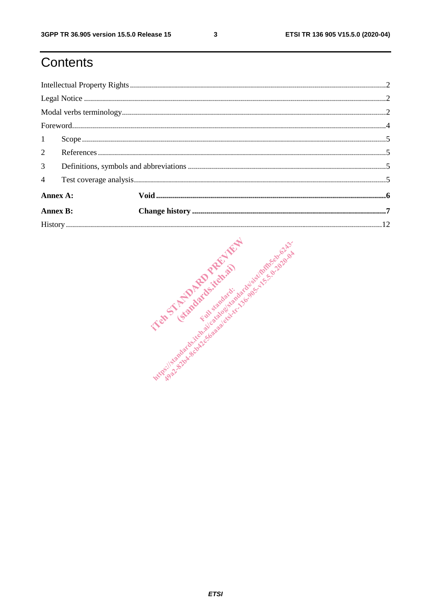ETSI TR 136 905 V15.5.0 (2020-04)

# Contents

| 3 <sup>1</sup>  |  |  |  |  |  |  |  |  |
|-----------------|--|--|--|--|--|--|--|--|
| $\overline{4}$  |  |  |  |  |  |  |  |  |
| Annex A:        |  |  |  |  |  |  |  |  |
| <b>Annex B:</b> |  |  |  |  |  |  |  |  |
|                 |  |  |  |  |  |  |  |  |

International development of the transfer of the state of the state of the state of the state of the state of the state of the state of the state of the state of the state of the state of the state of the state of the stat

 $\mathbf{3}$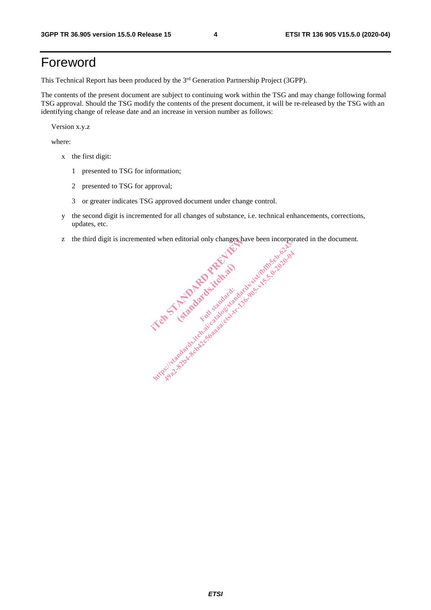## Foreword

This Technical Report has been produced by the 3<sup>rd</sup> Generation Partnership Project (3GPP).

The contents of the present document are subject to continuing work within the TSG and may change following formal TSG approval. Should the TSG modify the contents of the present document, it will be re-released by the TSG with an identifying change of release date and an increase in version number as follows:

Version x.y.z

where:

- x the first digit:
	- 1 presented to TSG for information;
	- 2 presented to TSG for approval;
	- 3 or greater indicates TSG approved document under change control.
- y the second digit is incremented for all changes of substance, i.e. technical enhancements, corrections, updates, etc.
- z the third digit is incremented when editorial only changes have been incorporated in the document.

interested and the state of the Contract of the State of the Contract of the State of the Contract of the Contract of the Contract of the Contract of the Contract of the Contract of the Contract of the Contract of the Cont (standards.iteh.ai) Https://standards.iteh.ai/catalogist/minister.org/standards.item.ai/catalogist/minister.org/standards.item.ai/catalogist/minister.org/standards.item.ai/catalogist/minister.org/standards.item.ai/catalogist/minister.org/stan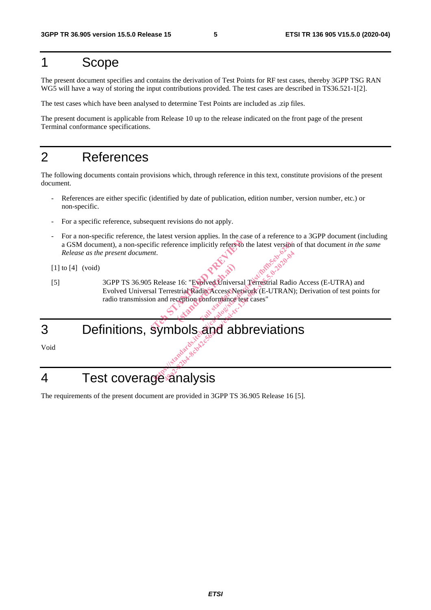#### 1 Scope

The present document specifies and contains the derivation of Test Points for RF test cases, thereby 3GPP TSG RAN WG5 will have a way of storing the input contributions provided. The test cases are described in TS36.521-1[2].

The test cases which have been analysed to determine Test Points are included as .zip files.

The present document is applicable from Release 10 up to the release indicated on the front page of the present Terminal conformance specifications.

## 2 References

The following documents contain provisions which, through reference in this text, constitute provisions of the present document.

- References are either specific (identified by date of publication, edition number, version number, etc.) or non-specific.
- For a specific reference, subsequent revisions do not apply.
- For a non-specific reference, the latest version applies. In the case of a reference to a 3GPP document (including a GSM document), a non-specific reference implicitly refers to the latest version of that document *in the same*<br>Release as the present document.<br>to [4] (void) *Release as the present document*.
- $[1]$  to  $[4]$  (void)
- [5] 3GPP TS 36.905 Release 16: "Evolved Universal Terrestrial Radio Access (E-UTRA) and Evolved Universal Terrestrial Radio Access Network (E-UTRAN); Derivation of test points for radio transmission and reception conformance test cases" ific reference implicitly refers to the la<br>
the creative of the land<br>
ific reference implicitly refers to the la<br>
the standard Period Phiversal Terre<br>
is Release 16: "Evolved Universal Terre<br>
can and reception conformating 16: "Evolved Univers die Access Ne ht.<br>
the latest version of the latest version of the latest version of the latest version of the latest version of the standard catalogy of the standard distribution in and reception conformance test cases"<br>
and complement ease 16: "Evelved Universal Terrestrial Radio<br>errestrial Radio Access Network (E-UTRAN)<br>d reception conformance test cases"<br>MDOIS and abbreviation<br>mbols and abbreviation

#### 3 Definitions, symbols and abbreviations

Void

#### 4 Test coverage analysis

The requirements of the present document are provided in 3GPP TS 36.905 Release 16 [5].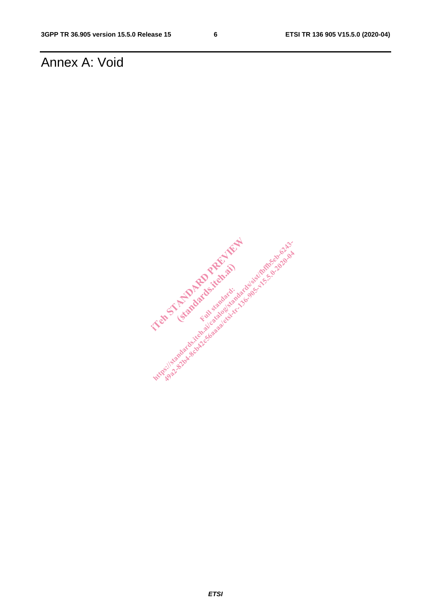# Annex A: Void

If etc. Standard Standard Standard Standard Standard Standard Standard Standard Standard (standards.iteh.ai) Https://standards.iteh.ai/catalogist/minister.org<br>https://standards.iteh.ai/catalogist/minister.org/standards.ite<br>https://standards.iteh.ai/catalogist.iteh.ai/catalogist.ite.org/standard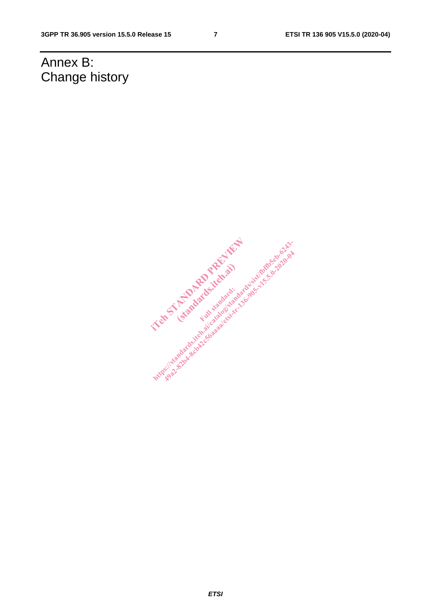# Annex B: Change history

If etc. Standard Standard Standard Standard Standard Standard Standard Standard Standard (standards.iteh.ai) Https://standards.iteh.ai/catalogist/minister.org<br>https://standards.iteh.ai/catalogist/minister.org/standards.ite<br>https://standards.iteh.ai/catalogist.iteh.ai/catalogist.ite.org/standard

#### *ETSI*